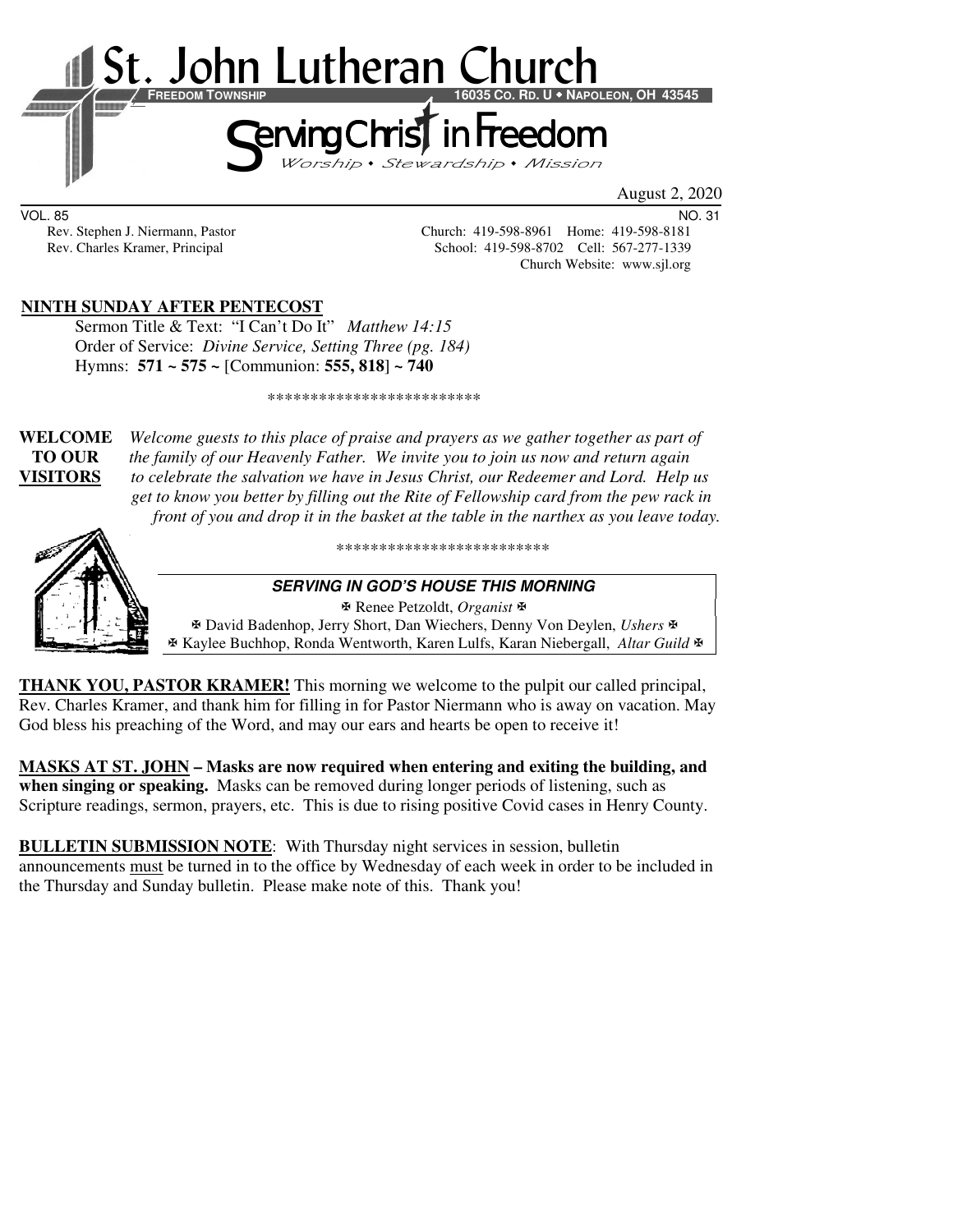

August 2, 2020

VOL. 85 NO. 31

Rev. Stephen J. Niermann, Pastor Church: 419-598-8961 Home: 419-598-8181<br>Rev. Charles Kramer, Principal School: 419-598-8702 Cell: 567-277-1339 School: 419-598-8702 Cell: 567-277-1339 Church Website: www.sjl.org

## **NINTH SUNDAY AFTER PENTECOST**

Sermon Title & Text: "I Can't Do It" *Matthew 14:15* Order of Service: *Divine Service, Setting Three (pg. 184)*  Hymns: **571 ~ 575 ~** [Communion: **555, 818**] **~ 740**

\*\*\*\*\*\*\*\*\*\*\*\*\*\*\*\*\*\*\*\*\*\*\*\*\*

**WELCOME** *Welcome guests to this place of praise and prayers as we gather together as part of*  **TO OUR** *the family of our Heavenly Father. We invite you to join us now and return again* **VISITORS** *to celebrate the salvation we have in Jesus Christ, our Redeemer and Lord. Help us get to know you better by filling out the Rite of Fellowship card from the pew rack in front of you and drop it in the basket at the table in the narthex as you leave today.* 



\*\*\*\*\*\*\*\*\*\*\*\*\*\*\*\*\*\*\*\*\*\*\*\*\*

#### **SERVING IN GOD'S HOUSE THIS MORNING**

 Renee Petzoldt, *Organist* David Badenhop, Jerry Short, Dan Wiechers, Denny Von Deylen, *Ushers* Kaylee Buchhop, Ronda Wentworth, Karen Lulfs, Karan Niebergall, *Altar Guild*

**THANK YOU, PASTOR KRAMER!** This morning we welcome to the pulpit our called principal, Rev. Charles Kramer, and thank him for filling in for Pastor Niermann who is away on vacation. May God bless his preaching of the Word, and may our ears and hearts be open to receive it!

**MASKS AT ST. JOHN – Masks are now required when entering and exiting the building, and when singing or speaking.** Masks can be removed during longer periods of listening, such as Scripture readings, sermon, prayers, etc. This is due to rising positive Covid cases in Henry County.

**BULLETIN SUBMISSION NOTE**: With Thursday night services in session, bulletin announcements must be turned in to the office by Wednesday of each week in order to be included in the Thursday and Sunday bulletin. Please make note of this. Thank you!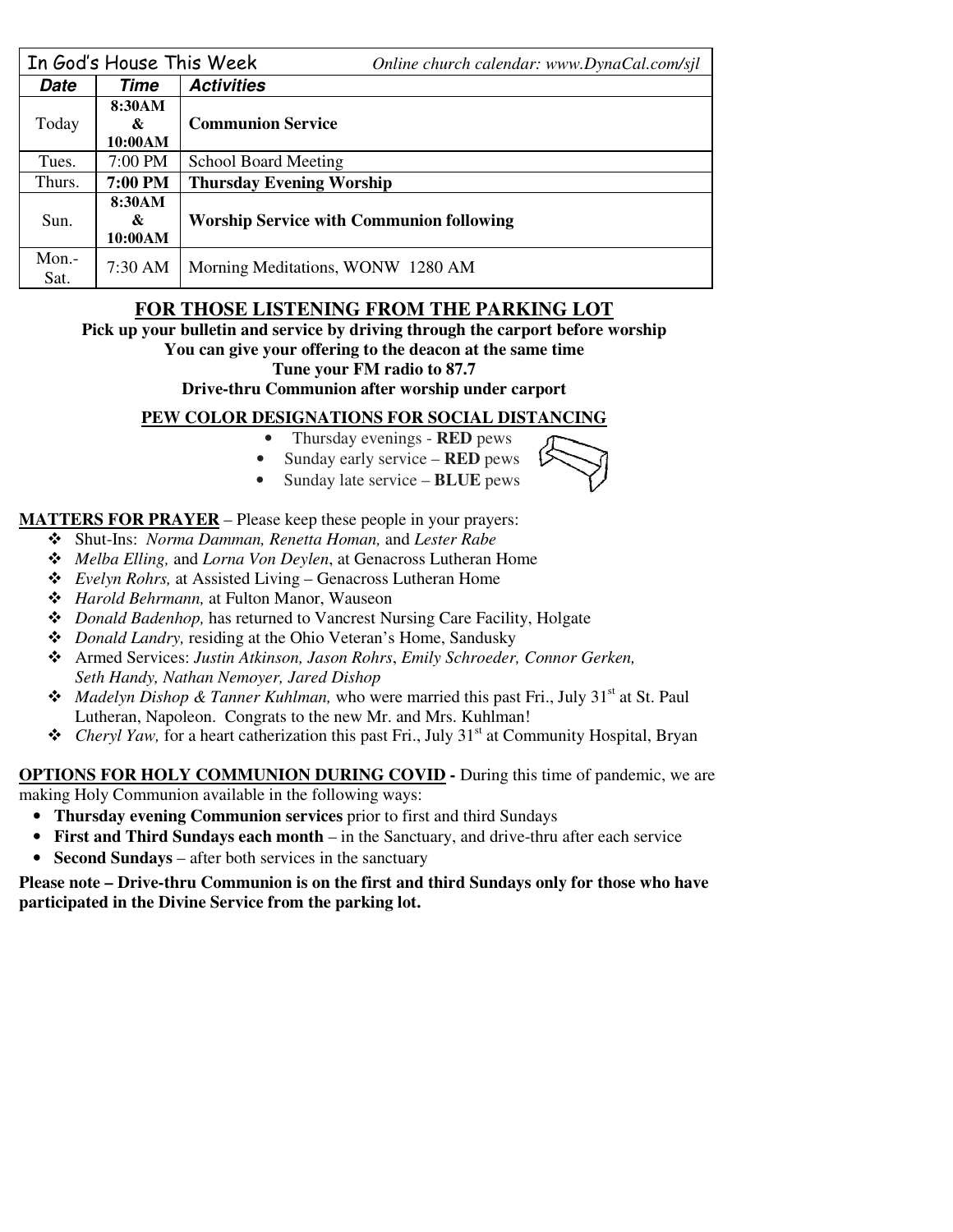|               | In God's House This Week | Online church calendar: www.DynaCal.com/sjl     |  |  |
|---------------|--------------------------|-------------------------------------------------|--|--|
| <b>Date</b>   | Time                     | <b>Activities</b>                               |  |  |
| Today         | 8:30AM<br>&<br>10:00AM   | <b>Communion Service</b>                        |  |  |
| Tues.         | 7:00 PM                  | <b>School Board Meeting</b>                     |  |  |
| Thurs.        | 7:00 PM                  | <b>Thursday Evening Worship</b>                 |  |  |
| Sun.          | 8:30AM<br>&<br>10:00AM   | <b>Worship Service with Communion following</b> |  |  |
| Mon.-<br>Sat. | 7:30 AM                  | Morning Meditations, WONW 1280 AM               |  |  |

# **FOR THOSE LISTENING FROM THE PARKING LOT**

**Pick up your bulletin and service by driving through the carport before worship** 

#### **You can give your offering to the deacon at the same time**

#### **Tune your FM radio to 87.7**

**Drive-thru Communion after worship under carport** 

### **PEW COLOR DESIGNATIONS FOR SOCIAL DISTANCING**

- Thursday evenings **RED** pews
- Sunday early service **RED** pews
- Sunday late service **BLUE** pews

## **MATTERS FOR PRAYER** – Please keep these people in your prayers:

- Shut-Ins: *Norma Damman, Renetta Homan,* and *Lester Rabe*
- *Melba Elling,* and *Lorna Von Deylen*, at Genacross Lutheran Home
- *Evelyn Rohrs,* at Assisted Living Genacross Lutheran Home
- *Harold Behrmann,* at Fulton Manor, Wauseon
- *Donald Badenhop,* has returned to Vancrest Nursing Care Facility, Holgate
- *Donald Landry,* residing at the Ohio Veteran's Home, Sandusky
- Armed Services: *Justin Atkinson, Jason Rohrs*, *Emily Schroeder, Connor Gerken, Seth Handy, Nathan Nemoyer, Jared Dishop*
- ◆ *Madelyn Dishop & Tanner Kuhlman*, who were married this past Fri., July 31<sup>st</sup> at St. Paul Lutheran, Napoleon. Congrats to the new Mr. and Mrs. Kuhlman!
- ◆ *Cheryl Yaw*, for a heart catherization this past Fri., July 31<sup>st</sup> at Community Hospital, Bryan

# **OPTIONS FOR HOLY COMMUNION DURING COVID -** During this time of pandemic, we are

making Holy Communion available in the following ways:

- **Thursday evening Communion services** prior to first and third Sundays
- **First and Third Sundays each month** in the Sanctuary, and drive-thru after each service
- **Second Sundays** after both services in the sanctuary

#### **Please note – Drive-thru Communion is on the first and third Sundays only for those who have participated in the Divine Service from the parking lot.**



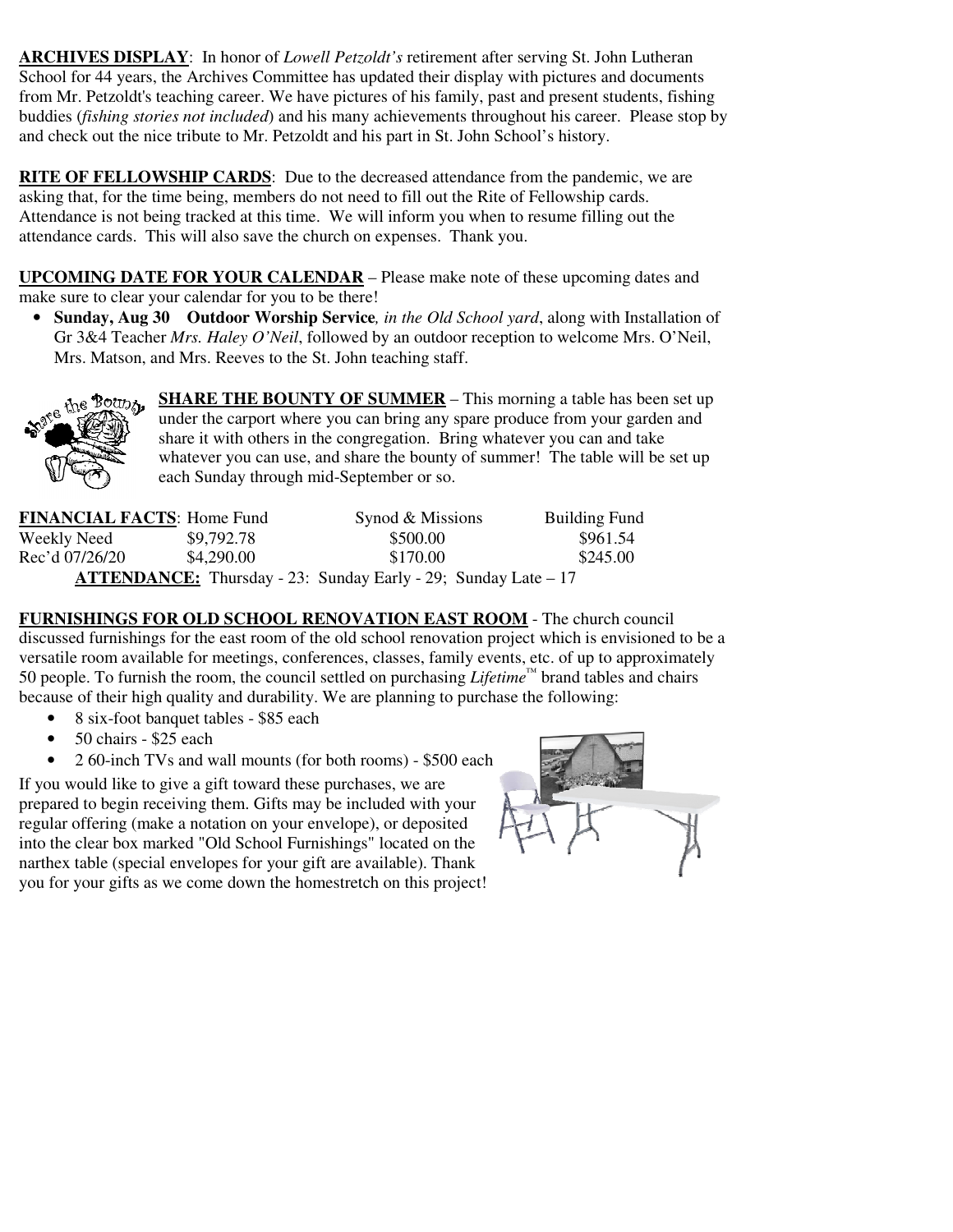**ARCHIVES DISPLAY**: In honor of *Lowell Petzoldt's* retirement after serving St. John Lutheran School for 44 years, the Archives Committee has updated their display with pictures and documents from Mr. Petzoldt's teaching career. We have pictures of his family, past and present students, fishing buddies (*fishing stories not included*) and his many achievements throughout his career. Please stop by and check out the nice tribute to Mr. Petzoldt and his part in St. John School's history.

**RITE OF FELLOWSHIP CARDS**: Due to the decreased attendance from the pandemic, we are asking that, for the time being, members do not need to fill out the Rite of Fellowship cards. Attendance is not being tracked at this time. We will inform you when to resume filling out the attendance cards. This will also save the church on expenses. Thank you.

**UPCOMING DATE FOR YOUR CALENDAR** – Please make note of these upcoming dates and make sure to clear your calendar for you to be there!

• **Sunday, Aug 30 Outdoor Worship Service***, in the Old School yard*, along with Installation of Gr 3&4 Teacher *Mrs. Haley O'Neil*, followed by an outdoor reception to welcome Mrs. O'Neil, Mrs. Matson, and Mrs. Reeves to the St. John teaching staff.



**SHARE THE BOUNTY OF SUMMER** – This morning a table has been set up under the carport where you can bring any spare produce from your garden and share it with others in the congregation. Bring whatever you can and take whatever you can use, and share the bounty of summer! The table will be set up each Sunday through mid-September or so.

| <b>FINANCIAL FACTS: Home Fund</b>                                     |            | Synod & Missions | <b>Building Fund</b> |  |  |
|-----------------------------------------------------------------------|------------|------------------|----------------------|--|--|
| Weekly Need                                                           | \$9,792.78 | \$500.00         | \$961.54             |  |  |
| Rec'd 07/26/20                                                        | \$4,290.00 | \$170.00         | \$245.00             |  |  |
| <b>ATTENDANCE:</b> Thursday - 23: Sunday Early - 29; Sunday Late – 17 |            |                  |                      |  |  |

**FURNISHINGS FOR OLD SCHOOL RENOVATION EAST ROOM** - The church council discussed furnishings for the east room of the old school renovation project which is envisioned to be a versatile room available for meetings, conferences, classes, family events, etc. of up to approximately 50 people. To furnish the room, the council settled on purchasing *Lifetime™* brand tables and chairs because of their high quality and durability. We are planning to purchase the following:

- 8 six-foot banquet tables \$85 each
- 50 chairs \$25 each
- 2 60-inch TVs and wall mounts (for both rooms) \$500 each

If you would like to give a gift toward these purchases, we are prepared to begin receiving them. Gifts may be included with your regular offering (make a notation on your envelope), or deposited into the clear box marked "Old School Furnishings" located on the narthex table (special envelopes for your gift are available). Thank you for your gifts as we come down the homestretch on this project!